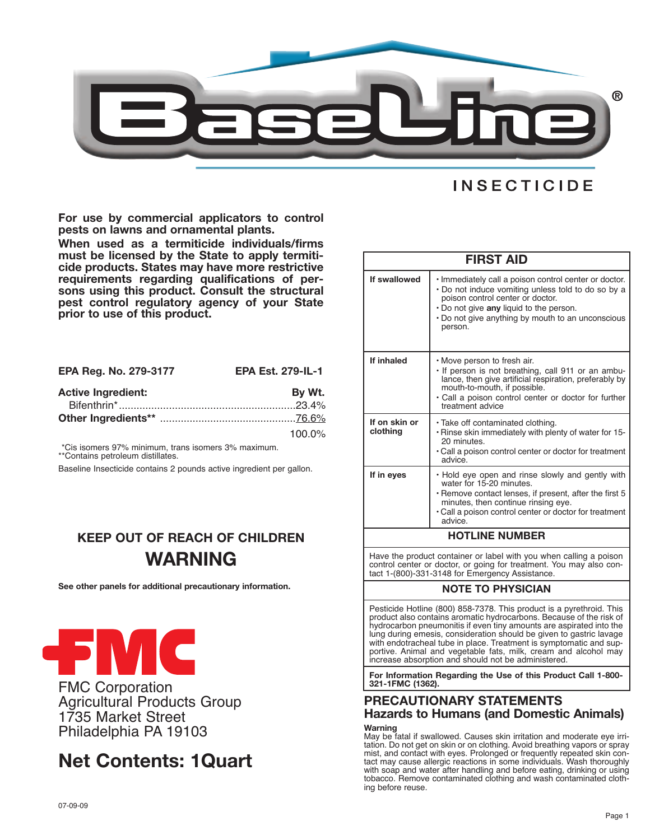

# **INSECTICIDE**

**For use by commercial applicators to control pests on lawns and ornamental plants.**

**When used as a termiticide individuals/firms must be licensed by the State to apply termiti- cide products. States may have more restrictive requirements regarding qualifications of per- sons using this product. Consult the structural pest control regulatory agency of your State prior to use of this product.**

| EPA Reg. No. 279-3177     | <b>EPA Est. 279-IL-1</b> |
|---------------------------|--------------------------|
| <b>Active Ingredient:</b> | By Wt.                   |
|                           |                          |
|                           |                          |
|                           | $100.0\%$                |

\*Cis isomers 97% minimum, trans isomers 3% maximum. \*\*Contains petroleum distillates.

Baseline Insecticide contains 2 pounds active ingredient per gallon.

# **KEEP OUT OF REACH OF CHILDREN WARNING**

**See other panels for additional precautionary information.**



FMC Corporation Agricultural Products Group 1735 Market Street Philadelphia PA 19103

# **Net Contents: 1Quart**

| <b>FIRST AID</b>                                                                                                                         |                                                                                                                                                                                                                                                            |  |
|------------------------------------------------------------------------------------------------------------------------------------------|------------------------------------------------------------------------------------------------------------------------------------------------------------------------------------------------------------------------------------------------------------|--|
| If swallowed                                                                                                                             | . Immediately call a poison control center or doctor.<br>. Do not induce vomiting unless told to do so by a<br>poison control center or doctor.<br>. Do not give any liquid to the person.<br>. Do not give anything by mouth to an unconscious<br>person. |  |
| If inhaled                                                                                                                               | . Move person to fresh air.<br>. If person is not breathing, call 911 or an ambu-<br>lance, then give artificial respiration, preferably by<br>mouth-to-mouth, if possible.<br>• Call a poison control center or doctor for further<br>treatment advice    |  |
| If on skin or<br>clothing                                                                                                                | · Take off contaminated clothing.<br>. Rinse skin immediately with plenty of water for 15-<br>20 minutes.<br>• Call a poison control center or doctor for treatment<br>advice                                                                              |  |
| If in eyes                                                                                                                               | . Hold eye open and rinse slowly and gently with<br>water for 15-20 minutes.<br>• Remove contact lenses, if present, after the first 5<br>minutes, then continue rinsing eye.<br>• Call a poison control center or doctor for treatment<br>advice.         |  |
| <b>HOTLINE NUMBER</b>                                                                                                                    |                                                                                                                                                                                                                                                            |  |
| Have the product container or label with you when calling a poison<br>control contar ar doctor, ar going for trootmant. Vou may also con |                                                                                                                                                                                                                                                            |  |

control center or doctor, or going for treatment. You may also con-tact 1-(800)-331-3148 for Emergency Assistance.

## **NOTE TO PHYSICIAN**

Pesticide Hotline (800) 858-7378. This product is a pyrethroid. This product also contains aromatic hydrocarbons. Because of the risk of hydrocarbon pneumonitis if even tiny amounts are aspirated into the lung during emesis, consideration should be given to gastric lavage with endotracheal tube in place. Treatment is symptomatic and supportive. Animal and vegetable fats, milk, cream and alcohol may increase absorption and should not be administered.

**For Information Regarding the Use of this Product Call 1-800- 321-1FMC (1362).**

# **PRECAUTIONARY STATEMENTS Hazards to Humans (and Domestic Animals) Warning**

May be fatal if swallowed. Causes skin irritation and moderate eye irritation. Do not get on skin or on clothing. Avoid breathing vapors or spray mist, and contact with eyes. Prolonged or frequently repeated skin contact may cause allergic reactions in some individuals. Wash thoroughly with soap and water after handling and before eating, drinking or using tobacco. Remove contaminated clothing and wash contaminated clothing before reuse.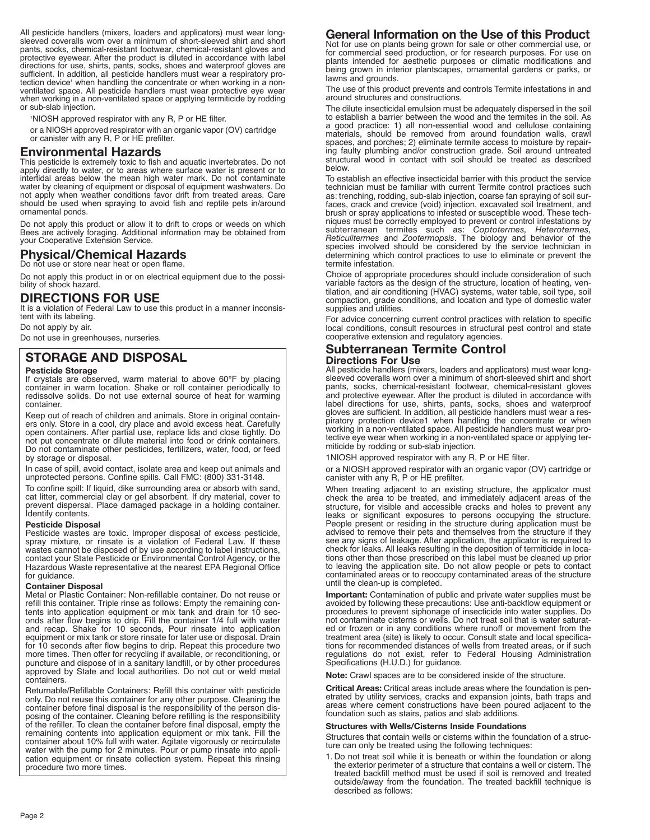All pesticide handlers (mixers, loaders and applicators) must wear longsleeved coveralls worn over a minimum of short-sleeved shirt and short pants, socks, chemical-resistant footwear, chemical-resistant gloves and protective eyewear. After the product is diluted in accordance with label directions for use, shirts, pants, socks, shoes and waterproof gloves are sufficient. In addition, all pesticide handlers must wear a respiratory protection device<sup>1</sup> when handling the concentrate or when working in a non-ventilated space. All pesticide handlers must wear protective eye wear when working in a non-ventilated space or applying termiticide by rodding or sub-slab injection.

1 NIOSH approved respirator with any R, P or HE filter.

or <sup>a</sup> NIOSH approved respirator with an organic vapor (OV) cartridge or canister with any R, <sup>P</sup> or HE prefilter.

**Environmental Hazards** apply directly to water, or to areas where surface water is present or to intertidal areas below the mean high water mark. Do not contaminate water by cleaning of equipment or disposal of equipment washwaters. Do should be used when spraying to avoid fish and reptile pets in/around ornamental ponds.

Do not apply this product or allow it to drift to crops or weeds on which Bees are actively foraging. Additional information may be obtained from your Cooperative Extension Service.

# **Physical/Chemical Hazards**

Do not use or store near heat or open flame.

Do not apply this product in or on electrical equipment due to the possi- bility of shock hazard.

### **DIRECTIONS FOR USE**

It is a violation of Federal Law to use this product in a manner inconsistent with its labeling.

Do not apply by air.

Do not use in greenhouses, nurseries.

# **STORAGE AND DISPOSAL**

## **Pesticide Storage**

If crystals are observed, warm material to above 60°F by placing container in warm location. Shake or roll container periodically to redissolve solids. Do not use external source of heat for warming container.

Keep out of reach of children and animals. Store in original containers only. Store in a cool, dry place and avoid excess heat. Carefully open containers. After partial use, replace lids and close tightly. Do not put concentrate or dilute material into food or drink containers. Do not contaminate other pesticides, fertilizers, water, food, or feed by storage or disposal.

In case of spill, avoid contact, isolate area and keep out animals and unprotected persons. Confine spills. Call FMC: (800) 331-3148.

To confine spill: If liquid, dike surrounding area or absorb with sand, cat litter, commercial clay or gel absorbent. If dry material, cover to prevent dispersal. Place damaged package in a holding container. Identify contents.

### **Pesticide Disposal**

Pesticide wastes are toxic. Improper disposal of excess pesticide, spray mixture, or rinsate is a violation of Federal Law. If these wastes cannot be disposed of by use according to label instructions, contact your State Pesticide or Environmental Control Agency, or the Hazardous Waste representative at the nearest EPA Regional Office for guidance.

### **Container Disposal**

Metal or Plastic Container: Non-refillable container. Do not reuse or refill this container. Triple rinse as follows: Empty the remaining contents into application equipment or mix tank and drain for 10 seconds after flow begins to drip. Fill the container 1/4 full with water and recap. Shake for 10 seconds, Pour rinsate into application equipment or mix tank or store rinsate for later use or disposal. Drain for 10 seconds after flow begins to drip. Repeat this procedure two more times. Then offer for recycling if available, or reconditioning, or puncture and dispose of in a sanitary landfill, or by other procedures approved by State and local authorities. Do not cut or weld metal containers.

Returnable/Refillable Containers: Refill this container with pesticide only. Do not reuse this container for any other purpose. Cleaning the container before final disposal is the responsibility of the person disposing of the container. Cleaning before refilling is the responsibility of the refiller. To clean the container before final disposal, empty the remaining contents into application equipment or mix tank. Fill the container about 10% full with water. Agitate vigorously or recirculate water with the pump for 2 minutes. Pour or pump rinsate into application equipment or rinsate collection system. Repeat this rinsing procedure two more times.

## **General Information on the Use of this Product**

Not for use on plants being grown for sale or other commercial use, or for commercial seed production, or for research purposes. For use on plants intended for aesthetic purposes or climatic modifications and being grown in interior plantscapes, ornamental gardens or parks, or lawns and grounds.

The use of this product prevents and controls Termite infestations in and around structures and constructions.

The dilute insecticidal emulsion must be adequately dispersed in the soil to establish a barrier between the wood and the termites in the soil. As a good practice: 1) all non-essential wood and cellulose containing materials, should be removed from around foundation walls, crawl spaces, and porches; 2) eliminate termite access to moisture by repairing faulty plumbing and/or construction grade. Soil around untreated structural wood in contact with soil should be treated as described below.

To establish an effective insecticidal barrier with this product the service technician must be familiar with current Termite control practices such as: trenching, rodding, sub-slab injection, coarse fan spraying of soil surfaces, crack and crevice (void) injection, excavated soil treatment, and brush or spray applications to infested or susceptible wood. These techniques must be correctly employed to prevent or control infestations by subterranean termites such as: *Coptotermes, Heterotermes, Reticulitermes* and *Zootermopsis*. The biology and behavior of the species involved should be considered by the service technician in determining which control practices to use to eliminate or prevent the termite infestation.

Choice of appropriate procedures should include consideration of such variable factors as the design of the structure, location of heating, ventilation, and air conditioning (HVAC) systems, water table, soil type, soil compaction, grade conditions, and location and type of domestic water supplies and utilities.

For advice concerning current control practices with relation to specific local conditions, consult resources in structural pest control and state cooperative extension and regulatory agencies.

### **Subterranean Termite Control Directions For Use**

All pesticide handlers (mixers, loaders and applicators) must wear longsleeved coveralls worn over a minimum of short-sleeved shirt and short pants, socks, chemical-resistant footwear, chemical-resistant gloves pants, socks, chemical-resistant footwear, chemical-resistant gloves and protective eyewear. After the product is diluted in accordance with label directions for use, shirts, pants, socks, shoes and waterproof gloves are sufficient. In addition, all pesticide handlers must wear a respiratory protection device1 when handling the concentrate or when working in a non-ventilated space. All pesticide handlers must wear protective eye wear when working in a non-ventilated space or applying termiticide by rodding or sub-slab injection.

1NIOSH approved respirator with any R, P or HE filter.

or a NIOSH approved respirator with an organic vapor (OV) cartridge or canister with any R, P or HE prefilter.

When treating adjacent to an existing structure, the applicator must check the area to be treated, and immediately adjacent areas of the structure, for visible and accessible cracks and holes to prevent any leaks or significant exposures to persons occupying the structure. People present or residing in the structure during application must be advised to remove their pets and themselves from the structure if they see any signs of leakage. After application, the applicator is required to check for leaks. All leaks resulting in the deposition of termiticide in locations other than those prescribed on this label must be cleaned up prior to leaving the application site. Do not allow people or pets to contact contaminated areas or to reoccupy contaminated areas of the structure until the clean-up is completed.

**Important:** Contamination of public and private water supplies must be avoided by following these precautions: Use anti-backflow equipment or procedures to prevent siphonage of insecticide into water supplies. Do not contaminate cisterns or wells. Do not treat soil that is water saturated or frozen or in any conditions where runoff or movement from the treatment area (site) is likely to occur. Consult state and local specifications for recommended distances of wells from treated areas, or if such regulations do not exist, refer to Federal Housing Administration Specifications (H.U.D.) for guidance.

**Note:** Crawl spaces are to be considered inside of the structure.

**Critical Areas:** Critical areas include areas where the foundation is penetrated by utility services, cracks and expansion joints, bath traps and areas where cement constructions have been poured adjacent to the foundation such as stairs, patios and slab additions.

### **Structures with Wells/Cisterns Inside Foundations**

Structures that contain wells or cisterns within the foundation of a structure can only be treated using the following techniques:

1. Do not treat soil while it is beneath or within the foundation or along the exterior perimeter of a structure that contains a well or cistern. The treated backfill method must be used if soil is removed and treated outside/away from the foundation. The treated backfill technique is described as follows: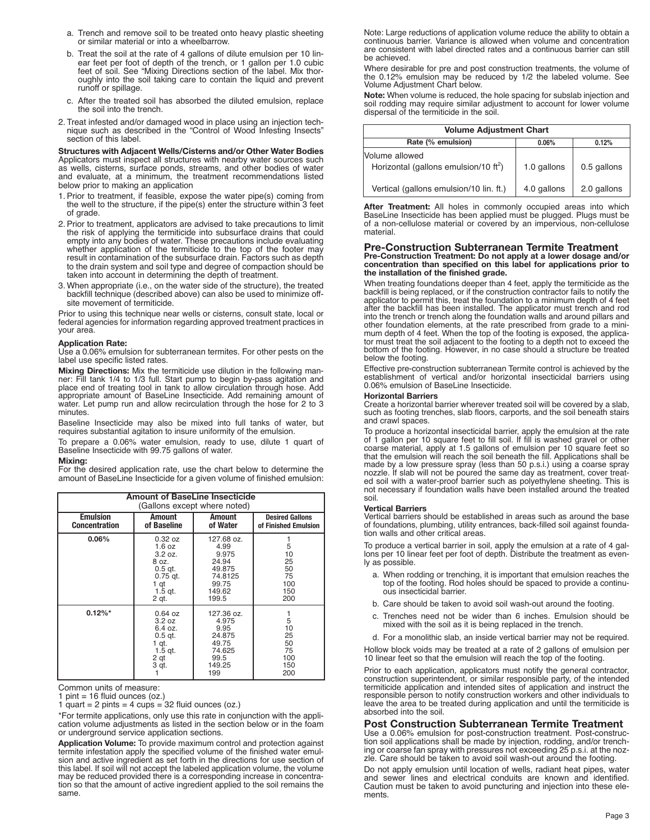- a. Trench and remove soil to be treated onto heavy plastic sheeting or similar material or into a wheelbarrow.
- b. Treat the soil at the rate of 4 gallons of dilute emulsion per 10 linear feet per foot of depth of the trench, or 1 gallon per 1.0 cubic feet of soil. See "Mixing Directions section of the label. Mix thoroughly into the soil taking care to contain the liquid and prevent runoff or spillage.
- c. After the treated soil has absorbed the diluted emulsion, replace the soil into the trench.
- 2. Treat infested and/or damaged wood in place using an injection technique such as described in the "Control of Wood Infesting Insects" section of this label.

**Structures with Adjacent Wells/Cisterns and/or Other Water Bodies** Applicators must inspect all structures with nearby water sources such as wells, cisterns, surface ponds, streams, and other bodies of water and evaluate, at a minimum, the treatment recommendations listed below prior to making an application

- 1. Prior to treatment, if feasible, expose the water pipe(s) coming from the well to the structure, if the pipe(s) enter the structure within 3 feet of grade.
- 2. Prior to treatment, applicators are advised to take precautions to limit the risk of applying the termiticide into subsurface drains that could empty into any bodies of water. These precautions include evaluating whether application of the termiticide to the top of the footer may result in contamination of the subsurface drain. Factors such as depth to the drain system and soil type and degree of compaction should be taken into account in determining the depth of treatment.
- 3. When appropriate (i.e., on the water side of the structure), the treated backfill technique (described above) can also be used to minimize offsite movement of termiticide.

Prior to using this technique near wells or cisterns, consult state, local or federal agencies for information regarding approved treatment practices in your area.

### **Application Rate:**

Use a 0.06% emulsion for subterranean termites. For other pests on the label use specific listed rates.

**Mixing Directions:** Mix the termiticide use dilution in the following man-<br>ner: Fill tank 1/4 to 1/3 full. Start pump to begin by-pass agitation and place end of treating tool in tank to allow circulation through hose. Add appropriate amount of BaseLine Insecticide. Add remaining amount of water. Let pump run and allow recirculation through the hose for 2 to 3 minutes.

Baseline Insecticide may also be mixed into full tanks of water, but requires substantial agitation to insure uniformity of the emulsion.

To prepare a 0.06% water emulsion, ready to use, dilute 1 quart of Baseline Insecticide with 99.75 gallons of water.

### **Mixing:**

For the desired application rate, use the chart below to determine the amount of BaseLine Insecticide for a given volume of finished emulsion:

| <b>Amount of BaseLine Insecticide</b><br>(Gallons except where noted) |                                                                                                |                                                                                       |                                                |
|-----------------------------------------------------------------------|------------------------------------------------------------------------------------------------|---------------------------------------------------------------------------------------|------------------------------------------------|
| <b>Emulsion</b><br><b>Concentration</b>                               | <b>Amount</b><br>of Baseline                                                                   | Amount<br>of Water                                                                    | <b>Desired Gallons</b><br>of Finished Emulsion |
| 0.06%                                                                 | 0.32 oz<br>1.6 oz<br>3.2 oz.<br>8 oz.<br>$0.5$ gt.<br>$0.75$ gt.<br>1 qt<br>$1.5$ gt.<br>2 qt. | 127.68 oz.<br>4.99<br>9.975<br>24.94<br>49.875<br>74.8125<br>99.75<br>149.62<br>199.5 | 5<br>10<br>25<br>50<br>75<br>100<br>150<br>200 |
| $0.12\%*$                                                             | 0.64 oz<br>3.2 oz<br>6.4 oz.<br>$0.5$ gt.<br>1 qt.<br>1.5 gt.<br>2 qt<br>3 qt.                 | 127.36 oz.<br>4.975<br>9.95<br>24.875<br>49.75<br>74.625<br>99.5<br>149.25<br>199     | 5<br>10<br>25<br>50<br>75<br>100<br>150<br>200 |

Common units of measure:

1 pint  $= 16$  fluid ounces (oz.)

1 quart = 2 pints = 4 cups =  $32$  fluid ounces (oz.)

\*For termite applications, only use this rate in conjunction with the application volume adjustments as listed in the section below or in the foam or underground service application sections.

**Application Volume:** To provide maximum control and protection against termite infestation apply the specified volume of the finished water emulsion and active ingredient as set forth in the directions for use section of this label. If soil will not accept the labeled application volume, the volume may be reduced provided there is a corresponding increase in concentration so that the amount of active ingredient applied to the soil remains the same.

Note: Large reductions of application volume reduce the ability to obtain a continuous barrier. Variance is allowed when volume and concentration are consistent with label directed rates and a continuous barrier can still be achieved.

Where desirable for pre and post construction treatments, the volume of the 0.12% emulsion may be reduced by 1/2 the labeled volume. See Volume Adjustment Chart below.

**Note:** When volume is reduced, the hole spacing for subslab injection and soil rodding may require similar adjustment to account for lower volume dispersal of the termiticide in the soil.

| <b>Volume Adjustment Chart</b>                                      |             |             |  |
|---------------------------------------------------------------------|-------------|-------------|--|
| Rate (% emulsion)                                                   | 0.06%       | 0.12%       |  |
| Volume allowed<br>Horizontal (gallons emulsion/10 ft <sup>2</sup> ) | 1.0 gallons | 0.5 gallons |  |
| Vertical (gallons emulsion/10 lin. ft.)                             | 4.0 gallons | 2.0 gallons |  |

**After Treatment:** All holes in commonly occupied areas into which BaseLine Insecticide has been applied must be plugged. Plugs must be of a non-cellulose material or covered by an impervious, non-cellulose material.

### **Pre-Construction Subterranean Termite Treatment**

Pre-Construction Treatment: Do not apply at a lower dosage and/or concentration than specified on this label for applications prior to **the installation of the finished grade.**

When treating foundations deeper than 4 feet, apply the termiticide as the backfill is being replaced, or if the construction contractor fails to notify the<br>applicator to permit this, treat the foundation to a minimum depth of 4 feet<br>after the backfill has been installed. The applicator must tren into the trench or trench along the foundation walls and around pillars and other foundation elements, at the rate prescribed from grade to a minimum depth of 4 feet. When the top of the footing is exposed, the applicator must treat the soil adjacent to the footing to a depth not to exceed the bottom of the footing. However, in no case should a structure be treated below the footing.

Effective pre-construction subterranean Termite control is achieved by the establishment of vertical and/or horizontal insecticidal barriers using 0.06% emulsion of BaseLine Insecticide.

**Horizontal Barriers** such as footing trenches, slab floors, carports, and the soil beneath stairs and crawl spaces.

To produce a horizontal insecticidal barrier, apply the emulsion at the rate<br>of 1 gallon per 10 square feet to fill soil. If fill is washed gravel or other<br>coarse material, apply at 1.5 gallons of emulsion per 10 square fe made by a low pressure spray (less than 50 p.s.i.) using a coarse spray nozzle. If slab will not be poured the same day as treatment, cover treated soil with a water-proof barrier such as polyethylene sheeting. This is not necessary if foundation walls have been installed around the treated soil.

### **Vertical Barriers**

Vertical barriers should be established in areas such as around the base of foundations, plumbing, utility entrances, back-filled soil against foundation walls and other critical areas.

To produce a vertical barrier in soil, apply the emulsion at a rate of 4 gal-lons per 10 linear feet per foot of depth. Distribute the treatment as evenly as possible.

- a. When rodding or trenching, it is important that emulsion reaches the top of the footing. Rod holes should be spaced to provide a continu-ous insecticidal barrier.
- b. Care should be taken to avoid soil wash-out around the footing.
- c. Trenches need not be wider than <sup>6</sup> inches. Emulsion should be mixed with the soil as it is being replaced in the trench.
- d. For a monolithic slab, an inside vertical barrier may not be required.

Hollow block voids may be treated at a rate of 2 gallons of emulsion per 10 linear feet so that the emulsion will reach the top of the footing.

Prior to each application, applicators must notify the general contractor, construction superintendent, or similar responsible party, of the intended termiticide application and intended sites of application and instruct the responsible person to notify construction workers and other individuals to leave the area to be treated during application and until the termiticide is absorbed into the soil.

### **Post Construction Subterranean Termite Treatment**

Use a 0.06% emulsion for post-construction treatment. Post-construction soil applications shall be made by injection, rodding, and/or trenching or coarse fan spray with pressures not exceeding 25 p.s.i. at the nozzle. Care should be taken to avoid soil wash-out around the footing.

Do not apply emulsion until location of wells, radiant heat pipes, water and sewer lines and electrical conduits are known and identified. Caution must be taken to avoid puncturing and injection into these elements.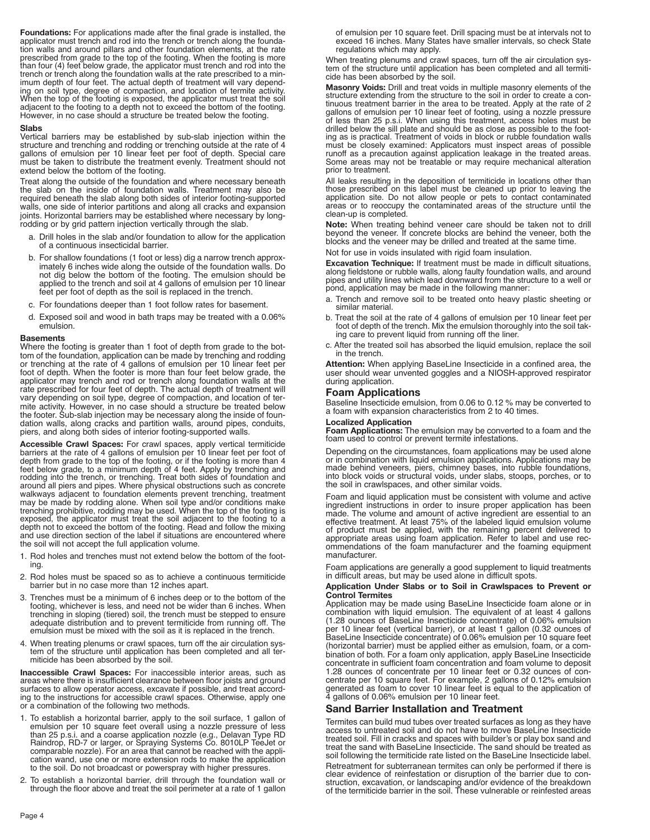**Foundations:** For applications made after the final grade is installed, the applicator must trench and rod into the trench or trench along the foundation walls and around pillars and other foundation elements, at the rate prescribed from grade to the top of the footing. When the footing is more than four (4) feet below grade, the applicator must trench and rod into the trench or trench along the foundation walls at the rate prescribed to a min-imum depth of four feet. The actual depth of treatment will vary depending on soil type, degree of compaction, and location of termite activity.<br>When the top of the footing is exposed, the applicator must treat the soil<br>adjacent to the footing to a depth not to exceed the bottom of the footin adjacent to the footing to a depth not to exceed the bottom of the footing.<br>However, in no case should a structure be treated below the footing.

### **Slabs**

Vertical barriers may be established by sub-slab injection within the structure and trenching and rodding or trenching outside at the rate of 4 gallons of emulsion per 10 linear feet per foot of depth. Special care must be taken to distribute the treatment evenly. Treatment should not extend below the bottom of the footing.

Treat along the outside of the foundation and where necessary beneath the slab on the inside of foundation walls. Treatment may also be required beneath the slab along both sides of interior footing-supported walls, one side of interior partitions and along all cracks and expansion joints. Horizontal barriers may be established where necessary by longrodding or by grid pattern injection vertically through the slab.

- a. Drill holes in the slab and/or foundation to allow for the application of a continuous insecticidal barrier.
- b. For shallow foundations (1 foot or less) dig a narrow trench approximately 6 inches wide along the outside of the foundation walls. Do not dig below the bottom of the footing. The emulsion should be applied to the trench and soil at 4 gallons of emulsion per 10 linear feet per foot of depth as the soil is replaced in the trench.
- c. For foundations deeper than 1 foot follow rates for basement.
- d. Exposed soil and wood in bath traps may be treated with a 0.06% emulsion.

### **Basements**

Where the footing is greater than 1 foot of depth from grade to the bottom of the foundation, application can be made by trenching and rodding or trenching at the rate of 4 gallons of emulsion per 10 linear feet per foot of depth. When the footer is more than four feet below grade, the applicator may trench and rod or trench along foundation walls at the rate prescribed for four feet of depth. The actual depth of treatment will vary depending on soil type, degree of compaction, and location of termite activity. However, in no case should a structure be treated below the footer. Sub-slab injection may be necessary along the inside of foundation walls, along cracks and partition walls, around pipes, conduits, piers, and along both sides of interior footing-supported walls.

**Accessible Crawl Spaces:** For crawl spaces, apply vertical termiticide barriers at the rate of 4 gallons of emulsion per 10 linear feet per foot of<br>depth from grade to the top of the footing, or if the footing is more than 4<br>feet below grade, to a minimum depth of 4 feet. Apply by trenching a walkways adjacent to foundation elements prevent trenching, treatment may be made by rodding alone. When soil type and/or conditions make trenching prohibitive, rodding may be used. When the top of the footing is exposed, the applicator must treat the soil adjacent to the footing to a depth not to exceed the bottom of the footing. Read and follow the mixing and use direction section of the label if situations are encountered where the soil will not accept the full application volume.

- 1. Rod holes and trenches must not extend below the bottom of the footing.
- 2. Rod holes must be spaced so as to achieve a continuous termiticide barrier but in no case more than 12 inches apart.
- 3. Trenches must be a minimum of 6 inches deep or to the bottom of the footing, whichever is less, and need not be wider than 6 inches. When trenching in sloping (tiered) soil, the trench must be stepped to ensure adequate distribution and to prevent termiticide from running off. The emulsion must be mixed with the soil as it is replaced in the trench.
- 4. When treating plenums or crawl spaces, turn off the air circulation system of the structure until application has been completed and all termiticide has been absorbed by the soil.

**Inaccessible Crawl Spaces:** For inaccessible interior areas, such as areas where there is insufficient clearance between floor joists and ground surfaces to allow operator access, excavate if possible, and treat according to the instructions for accessible crawl spaces. Otherwise, apply one or <sup>a</sup> combination of the following two methods.

- 1. To establish <sup>a</sup> horizontal barrier, apply to the soil surface, <sup>1</sup> gallon of emulsion per <sup>10</sup> square feet overall using <sup>a</sup> nozzle pressure of less than 25 p.s.i. and a coarse application nozzle (e.g., Delavan Type RD<br>Raindrop, RD-7 or larger, or Spraying Systems Co. 8010LP TeeJet or<br>comparable nozzle). For an area that cannot be reached with the application<br>cation wa
- 2. To establish <sup>a</sup> horizontal barrier, drill through the foundation wall or through the floor above and treat the soil perimeter at <sup>a</sup> rate of <sup>1</sup> gallon

of emulsion per 10 square feet. Drill spacing must be at intervals not to exceed 16 inches. Many States have smaller intervals, so check State regulations which may apply.

When treating plenums and crawl spaces, turn off the air circulation sys- tem of the structure until application has been completed and all termiticide has been absorbed by the soil.

**Masonry Voids:** Drill and treat voids in multiple masonry elements of the structure extending from the structure to the soil in order to create <sup>a</sup> con- tinuous treatment barrier in the area to be treated. Apply at the rate of <sup>2</sup> gallons of emulsion per 10 linear feet of footing, using a nozzle pressure of less than 25 p.s.i. When using this treatment, access holes must be drilled below the sill plate and should be as close as possible to the foot-<br>ing as is practical. Treatment of voids in block or rubble foundation walls must be closely examined: Applicators must inspect areas of possible runoff as a precaution against application leakage in the treated areas. Some areas may not be treatable or may require mechanical alteration prior to treatment.

All leaks resulting in the deposition of termiticide in locations other than those prescribed on this label must be cleaned up prior to leaving the application site. Do not allow people or pets to contact contaminated areas or to reoccupy the contaminated areas of the structure until the clean-up is completed.

**Note:** When treating behind veneer care should be taken not to drill beyond the veneer. If concrete blocks are behind the veneer, both the blocks and the veneer may be drilled and treated at the same time.

Not for use in voids insulated with rigid foam insulation.

**Excavation Technique:** If treatment must be made in difficult situations, along fieldstone or rubble walls, along faulty foundation walls, and around pipes and utility lines which lead downward from the structure to a well or pond, application may be made in the following manner:

- a. Trench and remove soil to be treated onto heavy plastic sheeting or similar material.
- b. Treat the soil at the rate of 4 gallons of emulsion per 10 linear feet per foot of depth of the trench. Mix the emulsion thoroughly into the soil taking care to prevent liquid from running off the liner.
- c. After the treated soil has absorbed the liquid emulsion, replace the soil in the trench.

**Attention:** When applying BaseLine Insecticide in a confined area, the user should wear unvented goggles and a NIOSH-approved respirator during application.

### **Foam Applications**

Baseline Insecticide emulsion, from 0.06 to 0.12 % may be converted to a foam with expansion characteristics from 2 to 40 times.

**Localized Application**<br>**Foam Applications:** The emulsion may be converted to a foam and the foam used to control or prevent termite infestations.

Depending on the circumstances, foam applications may be used alone<br>or in combination with liquid emulsion applications. Applications may be<br>made behind veneers, piers, chimney bases, into rubble foundations,<br>into block vo

Foam and liquid application must be consistent with volume and active ingredient instructions in order to insure proper application has been made. The volume and amount of active ingredient are essential to an effective tr

Foam applications are generally <sup>a</sup> good supplement to liquid treatments in difficult areas, but may be used alone in difficult spots.

### **Application Under Slabs or to Soil in Crawlspaces to Prevent or Control Termites**

Application may be made using BaseLine Insecticide foam alone or in combination with liquid emulsion. The equivalent of at least 4 gallons (1.28 ounces of BaseLine Insecticide concentrate) of 0.06% emulsion per 10 linear feet (vertical barrier), or at least 1 gallon (0.32 ounces of BaseLine Insecticide concentrate) of 0.06% emulsion per 10 square feet (horizontal barrier) must be applied either as emulsion, foam, or a combination of both. For a foam only application, apply BaseLine Insecticide concentrate in sufficient foam concentration and foam volume to deposit 1.28 ounces of concentrate per 10 linear feet or 0.32 ounces of concentrate per 10 square feet. For example, 2 gallons of 0.12% emulsion generated as foam to cover 10 linear feet is equal to the application of 4 gallons of 0.06% emulsion per 10 linear feet.

### **Sand Barrier Installation and Treatment**

Termites can build mud tubes over treated surfaces as long as they have access to untreated soil and do not have to move BaseLine Insecticide treated soil. Fill in cracks and spaces with builder's or play box sand and trea

soil following the termiticide rate listed on the BaseLine Insecticide label.<br>Retreatment for subterranean termites can only be performed if there is<br>clear evidence of reinfestation or disruption of the barrier due to construction, excavation, or landscaping and/or evidence of the breakdown of the termiticide barrier in the soil. These vulnerable or reinfested areas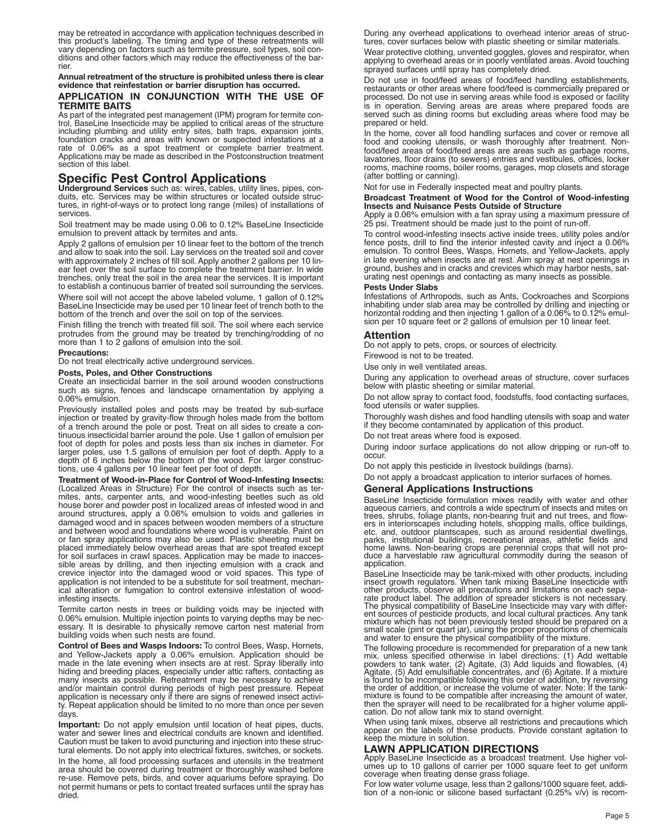may be retreated in accordance with application techniques described in<br>this product's labeling. The timing and type of these retreatments will<br>vary depending on factors such as termite pressure, soil types, soil con-<br>diti

# Annual retreatment of the structure is prohibited unless there is clear<br>evidence that reinfestation or barrier disruption has occurred.

### **APPLICATION IN CONJUNCTION WITH THE USE OF TERMITE BAITS**

As part of the integrated pest management (IPM) program for termite con-<br>trol, BaseLine Insecticide may be applied to critical areas of the structure including plumbing and utility entry sites, bath traps, expansion joints, foundation cracks and areas with known or suspected infestations at a rate of 0.06% as a spot treatment or complete barrier treatment. Applications may be made as described in the Postconstruction treatment section of this label.

# **Specific Pest Control Applications**

**Underground Services** such as: wires, cables, utility lines, pipes, conduits, etc. Services may be within structures or located outside structures, in right-of-ways or to protect long range (miles) of installations of services.

Soil treatment may be made using 0.06 to 0.12% BaseLine Insecticide emulsion to prevent attack by termites and ants.

Apply 2 gallons of emulsion per 10 linear feet to the bottom of the trench and allow to soak into the soil. Lay services on the treated soil and cover with approximately 2 inches of fill soil. Apply another 2 gallons per 10 linear feet over the soil surface to complete the treatment barrier. In wide trenches, only treat the soil in the area near the services. It is important to establish a continuous barrier of treated soil surrounding the services.

Where soil will not accept the above labeled volume, 1 gallon of 0.12% BaseLine Insecticide may be used per 10 linear feet of trench both to the bottom of the trench and over the soil on top of the services.

Finish filling the trench with treated fill soil. The soil where each service protrudes from the ground may be treated by trenching/rodding of no more than 1 to 2 gallons of emulsion into the soil.

**Precautions:**

Do not treat electrically active underground services.

### **Posts, Poles, and Other Constructions**

Create an insecticidal barrier in the soil around wooden constructions such as signs, fences and landscape ornamentation by applying a 0.06% emulsion.

Previously installed poles and posts may be treated by sub-surface injection or treated by gravity-flow through holes made from the bottom of a trench around the pole or post. Treat on all sides to create a continuous insecticidal barrier around the pole. Use 1 gallon of emulsion per foot of depth for poles and posts less than six inches in diameter. For larger poles, use 1.5 gallons of emulsion per foot of depth. Apply to a depth of 6 inches below the bottom of the wood. For larger constructions, use 4 gallons per 10 linear feet per foot of depth.

**Treatment of Wood-in-Place for Control of Wood-Infesting Insects:** (Localized Areas in Structure) For the control of insects such as termites, ants, carpenter ants, and wood-infesting beetles such as old house borer and powder post in localized areas of infested wood in and around structures, apply a 0.06% emulsion to voids and galleries in damaged wood and in spaces between wooden members of a structure and between wood and foundations where wood is vulnerable. Paint on or fan spray applications may also be used. Plastic sheeting must be placed immediately below overhead areas that are spot treated except for soil surfaces in crawl spaces. Application may be made to inaccessible areas by drilling, and then injecting emulsion with a crack and crevice injector into the damaged wood or void spaces. This type of application is not intended to be a substitute for soil treatment, mechanical alteration or fumigation to control extensive infestation of woodinfesting insects.

Termite carton nests in trees or building voids may be injected with 0.06% emulsion. Multiple injection points to varying depths may be necessary. It is desirable to physically remove carton nest material from building voids when such nests are found.

**Control of Bees and Wasps Indoors:** To control Bees, Wasp, Hornets, and Yellow-Jackets apply a 0.06% emulsion. Application should be made in the late evening when insects are at rest. Spray liberally into hiding and breeding places, especially under attic rafters, contacting as many insects as possible. Retreatment may be necessary to achieve and/or maintain control during periods of high pest pressure. Repeat application is necessary only if there are signs of renewed insect activity. Repeat application should be limited to no more than once per seven days.

**Important:** Do not apply emulsion until location of heat pipes, ducts, water and sewer lines and electrical conduits are known and identified. Caution must be taken to avoid puncturing and injection into these structural elements. Do not apply into electrical fixtures, switches, or sockets.

In the home, all food processing surfaces and utensils in the treatment area should be covered during treatment or thoroughly washed before re-use. Remove pets, birds, and cover aquariums before spraying. Do not permit humans or pets to contact treated surfaces until the spray has dried.

During any overhead applications to overhead interior areas of structures, cover surfaces below with plastic sheeting or similar materials.

Wear protective clothing, unvented goggles, gloves and respirator, when applying to overhead areas or in poorly ventilated areas. Avoid touching sprayed surfaces until spray has completely dried.

Do not use in food/feed areas of food/feed handling establishments, restaurants or other areas where food/feed is commercially prepared or processed. Do not use in serving areas while food is exposed or facility is in operation. Serving areas are areas where prepared foods are served such as dining rooms but excluding areas where food may be prepared or held.

In the home, cover all food handling surfaces and cover or remove all food and cooking utensils, or wash thoroughly after treatment. Nonfood/feed areas of food/feed areas are areas such as garbage rooms, lavatories, floor drains (to sewers) entries and vestibules, offices, locker rooms, machine rooms, boiler rooms, garages, mop closets and storage (after bottling or canning).

Not for use in Federally inspected meat and poultry plants.

### **Broadcast Treatment of Wood for the Control of Wood-infesting Insects and Nuisance Pests Outside of Structure**

Apply a 0.06% emulsion with a fan spray using a maximum pressure of 25 psi. Treatment should be made just to the point of run-off.

To control wood-infesting insects active inside trees, utility poles and/or fence posts, drill to find the interior infested cavity and inject a 0.06% emulsion. To control Bees, Wasps, Hornets, and Yellow-Jackets, apply in late evening when insects are at rest. Aim spray at nest openings in ground, bushes and in cracks and crevices which may harbor nests, saturating nest openings and contacting as many insects as possible.

### **Pests Under Slabs**

Infestations of Arthropods, such as Ants, Cockroaches and Scorpions inhabiting under slab area may be controlled by drilling and injecting or horizontal rodding and then injecting 1 gallon of a 0.06% to 0.12% emulsion per 10 square feet or 2 gallons of emulsion per 10 linear feet.

### **Attention**

Do not apply to pets, crops, or sources of electricity.

Firewood is not to be treated.

Use only in well ventilated areas.

During any application to overhead areas of structure, cover surfaces below with plastic sheeting or similar material.

Do not allow spray to contact food, foodstuffs, food contacting surfaces, food utensils or water supplies.

Thoroughly wash dishes and food handling utensils with soap and water if they become contaminated by application of this product.

Do not treat areas where food is exposed.

During indoor surface applications do not allow dripping or run-off to occur.

Do not apply this pesticide in livestock buildings (barns).

Do not apply a broadcast application to interior surfaces of homes.

### **General Applications Instructions**

BaseLine Insecticide formulation mixes readily with water and other aqueous carriers, and controls a wide spectrum of insects and mites on trees, shrubs, foliage plants, non-bearing fruit and nut trees, and flow-<br>ers in in home lawns. Non-bearing crops are perennial crops that will not pro-<br>duce a harvestable raw agricultural commodity during the season of<br>application.

BaseLine Insecticide may be tank-mixed with other products, including insect growth regulators. When tank mixing BaseLine Insecticide with insect growth regulators. When tank mixing BaseLine Insecticide with<br>other products, observe all precautions and limitations on each sepa-<br>rate product label. The addition of spreader stickers is not necessary.<br>The physica

The following procedure is recommended for preparation of a new tank<br>mix, unless specified otherwise in label directions: (1) Add wettable<br>powders to tank water, (2) Agitate, (3) Add liquids and flowables, (4) Agitate, (5) Add emulsifiable concentrates, and (6) Agitate. If a mixture<br>is found to be incompatible following this order of addition, try reversing mixture is found to be compatible after increasing the amount of water,<br>then the sprayer will need to be recalibrated for a higher volume appli-<br>cation. Do not allow tank mix to stand overnight.

When using tank mixes, observe all restrictions and precautions which appear on the labels of these products. Provide constant agitation to keep the mixture in solution.

**LAWN APPLICATION DIRECTIONS** umes up to 10 gallons of carrier per 1000 square feet to get uniform<br>coverage when treating dense grass foliage.

For low water volume usage, less than 2 gallons/1000 square feet, addition of a non-ionic or silicone based surfactant (0.25% v/v) is recom-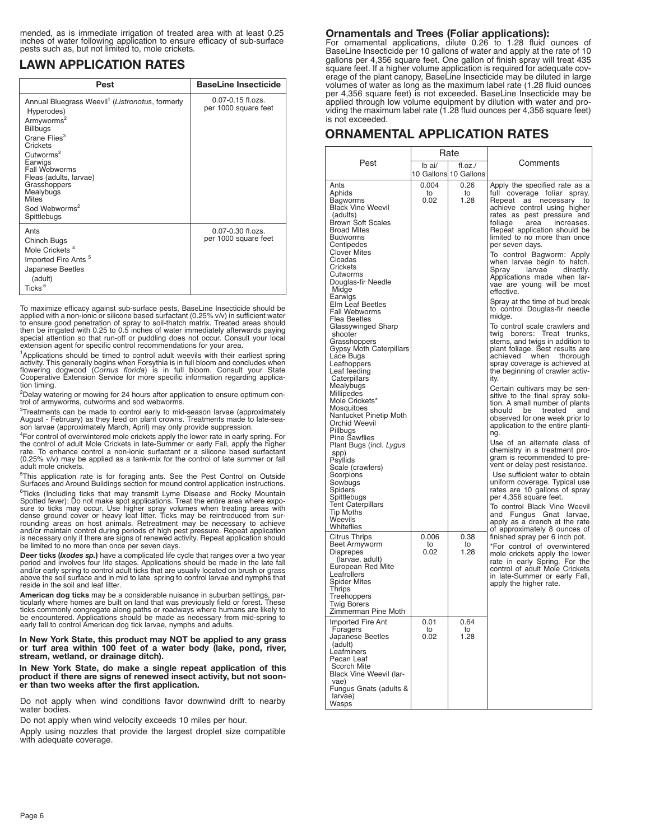mended, as is immediate irrigation of treated area with at least 0.25 inches of water following application to ensure efficacy of sub-surface pests such as, but not limited to, mole crickets.

# **LAWN APPLICATION RATES**

| Pest                                                                                                                                                                                                                                                                                                                                   | <b>BaseLine Insecticide</b>                   |
|----------------------------------------------------------------------------------------------------------------------------------------------------------------------------------------------------------------------------------------------------------------------------------------------------------------------------------------|-----------------------------------------------|
| Annual Bluegrass Weevil <sup>1</sup> (Listronotus, formerly<br>Hyperodes)<br>Armyworms <sup>2</sup><br><b>Billbugs</b><br>Crane Flies <sup>3</sup><br>Crickets<br>Cutworms <sup>2</sup><br>Earwigs<br>Fall Webworms<br>Fleas (adults, larvae)<br>Grasshoppers<br>Mealybugs<br><b>Mites</b><br>Sod Webworms <sup>2</sup><br>Spittlebugs | $0.07 - 0.15$ fl.ozs.<br>per 1000 square feet |
| Ants<br>Chinch Bugs<br>Mole Crickets <sup>4</sup><br>Imported Fire Ants <sup>5</sup><br>Japanese Beetles<br>(adult)<br>Ticks <sup>6</sup>                                                                                                                                                                                              | 0.07-0.30 fl.ozs.<br>per 1000 square feet     |

To maximize efficacy against sub-surface pests, BaseLine Insecticide should be applied with a non-ionic or silicone based surfactant (0.25% v/v) in sufficient water to ensure good penetration of spray to soil-thatch matrix. Treated areas should then be irrigated with 0.25 to 0.5 inches of water immediately afterwards paying special attention so that run-off or puddling does not occur. Consult your local extension agent for specific control recommendations for your area.

<sup>1</sup>Applications should be timed to control adult weevils with their earliest spring activity. This generally begins when Forsythia is in full bloom and concludes when<br>flowering dogwood (C*ornus florida*) is in full bloom. Consult your State<br>Cooperative Extension Service for more specific informa tion timing.

2 Delay watering or mowing for <sup>24</sup> hours after application to ensure optimum con- trol of armyworms, cutworms and sod webworms.

<sup>3</sup>Treatments can be made to control early to mid-season larvae (approximately August - February) as they feed on plant crowns. Treatments made to late-sea- son larvae (approximately March, April) may only provide suppression.

<sup>4</sup>For control of overwintered mole crickets apply the lower rate in early spring. For the control of adult Mole Crickets in late-Summer or early Fall, apply the higher rate. To enhance control a non-ionic surfactant or a silicone based surfactant (0.25% v/v) may be applied as a tank-mix for the control of late summer or fall adult mole crickets.

5 This application rate is for foraging ants. See the Pest Control on Outside Surfaces and Around Buildings section for mound control application instructions.

<sup>6</sup>Ticks (Including ticks that may transmit Lyme Disease and Rocky Mountain<br>Spotted fever): Do not make spot applications. Treat the entire area where expo-<br>sure to ticks may occur. Use higher spray volumes when treating a dense ground cover or heavy leaf litter. Ticks may be reintroduced from sur-rounding areas on host animals. Retreatment may be necessary to achieve and/or maintain control during periods of high pest pressure. Repeat application is necessary only if there are signs of renewed activity. Repeat application should be limited to no more than once per seven days.

Deer ticks (Ixodes sp.) have a complicated life cycle that ranges over a two year<br>period and involves four life stages. Applications should be made in the late fall<br>and/or early spring to control adult ticks that are usual above the soil surface and in mid to late spring to control larvae and nymphs that reside in the soil and leaf litter.

**American dog ticks** may be a considerable nuisance in suburban settings, paridentified about the state of the state of the state and the state in the state in the state in the state in the state in the state in the state in the state in the state in the state in the state is the encountered. Appli

**In New York State, this product may NOT be applied to any grass or turf area within 100 feet of a water body (lake, pond, river, stream, wetland, or drainage ditch).**

**In New York State, do make a single repeat application of this product if there are signs of renewed insect activity, but not sooner than two weeks after the first application.**

Do not apply when wind conditions favor downwind drift to nearby water bodies.

Do not apply when wind velocity exceeds 10 miles per hour.

Apply using nozzles that provide the largest droplet size compatible with adequate coverage.

# **Ornamentals and Trees (Foliar applications):**

For ornamental applications, dilute 0.26 to 1.28 fluid ounces of BaseLine Insecticide per 10 gallons of water and apply at the rate of 10 gallons per 4,356 square feet. One gallon of finish spray will treat 435 square feet. If a higher volume application is required for adequate coverage of the plant canopy, BaseLine Insecticide may be diluted in large volumes of water as long as the maximum label rate (1.28 fluid ounces per 4,356 square feet) is not exceeded. BaseLine Insecticide may be applied through low volume equipment by dilution with water and providing the maximum label rate (1.28 fluid ounces per 4,356 square feet) is not exceeded.

# **ORNAMENTAL APPLICATION RATES**

|                                                                                                                                                                                                                                                                                                                                                                                                                                                                                                                                                                                                                                                                                                                                                                                                | Rate                |                       |                                                                                                                                                                                                                                                                                                                                                                                                                                                                                                                                                                                                                                                                                                                                                                                                                                                                                                                                                                                                                                                                                                                                                                                                                                                                                                                                                                       |
|------------------------------------------------------------------------------------------------------------------------------------------------------------------------------------------------------------------------------------------------------------------------------------------------------------------------------------------------------------------------------------------------------------------------------------------------------------------------------------------------------------------------------------------------------------------------------------------------------------------------------------------------------------------------------------------------------------------------------------------------------------------------------------------------|---------------------|-----------------------|-----------------------------------------------------------------------------------------------------------------------------------------------------------------------------------------------------------------------------------------------------------------------------------------------------------------------------------------------------------------------------------------------------------------------------------------------------------------------------------------------------------------------------------------------------------------------------------------------------------------------------------------------------------------------------------------------------------------------------------------------------------------------------------------------------------------------------------------------------------------------------------------------------------------------------------------------------------------------------------------------------------------------------------------------------------------------------------------------------------------------------------------------------------------------------------------------------------------------------------------------------------------------------------------------------------------------------------------------------------------------|
| Pest                                                                                                                                                                                                                                                                                                                                                                                                                                                                                                                                                                                                                                                                                                                                                                                           | lb ai/              | fLoz.                 | Comments                                                                                                                                                                                                                                                                                                                                                                                                                                                                                                                                                                                                                                                                                                                                                                                                                                                                                                                                                                                                                                                                                                                                                                                                                                                                                                                                                              |
|                                                                                                                                                                                                                                                                                                                                                                                                                                                                                                                                                                                                                                                                                                                                                                                                |                     | 10 Gallons 10 Gallons |                                                                                                                                                                                                                                                                                                                                                                                                                                                                                                                                                                                                                                                                                                                                                                                                                                                                                                                                                                                                                                                                                                                                                                                                                                                                                                                                                                       |
| Ants<br>Aphids<br>Bagworms<br><b>Black Vine Weevil</b><br>(adults)<br><b>Brown Soft Scales</b><br><b>Broad Mites</b><br>Budworms<br>Centipedes<br>Clover Mites<br>Cicadas<br>Crickets<br>Cutworms<br>Douglas-fir Needle<br>Midge<br>Earwigs<br><b>Elm Leaf Beetles</b><br><b>Fall Webworms</b><br>Flea Beetles<br>Glassywinged Sharp<br>shooter<br>Grasshoppers<br><b>Gypsy Moth Caterpillars</b><br>Lace Bugs<br>Leafhoppers<br>Leaf feeding<br>Caterpillars<br>Mealybugs<br>Millipedes<br>Mole Crickets*<br>Mosquitoes<br>Nantucket Pinetip Moth<br>Orchid Weevil<br>Pillbugs<br><b>Pine Sawflies</b><br>Plant Bugs (incl. Lygus<br>spp)<br>Psyllids<br>Scale (crawlers)<br>Scorpions<br>Sowbugs<br>Spiders<br>Spittlebugs<br><b>Tent Caterpillars</b><br>Tip Moths<br>Weevils<br>Whiteflies | 0.004<br>to<br>0.02 | 0.26<br>to<br>1.28    | Apply the specified rate as a<br>full coverage foliar<br>spray.<br>Repeat as<br>necessary to<br>achieve control using higher<br>rates as pest pressure and<br>toliage<br>area<br>increases.<br>Repeat application should be<br>limited to no more than once<br>per seven days.<br>To control Bagworm: Apply<br>when larvae begin to hatch.<br>larvae<br>directly.<br>Spray<br>Applications made when lar-<br>vae are young will be most<br>effective.<br>Spray at the time of bud break<br>to control Douglas-fir needle<br>midge.<br>To control scale crawlers and<br>twig borers: Treat trunks,<br>stems, and twigs in addition to<br>plant foliage. Best results are<br>achieved<br>when<br>thorough<br>spray coverage is achieved at<br>the beginning of crawler activ-<br>ity.<br>Certain cultivars may be sen-<br>sitive to the final spray solu-<br>tion. A small number of plants<br>should<br>be<br>treated<br>and<br>observed for one week prior to<br>application to the entire planti-<br>ng.<br>Use of an alternate class of<br>chemistry in a treatment pro-<br>gram is recommended to pre-<br>vent or delay pest resistance.<br>Use sufficient water to obtain<br>uniform coverage. Typical use<br>rates are 10 gallons of spray<br>per 4,356 square feet.<br>To control Black Vine Weevil<br>and Fungus Gnat larvae,<br>apply as a drench at the rate |
| Citrus Thrips<br>Beet Armyworm<br>Diaprepes<br>(larvae, adult)<br>European Red Mite<br>Leafrollers<br><b>Spider Mites</b><br>Thrips<br>Treehoppers<br><b>Twig Borers</b><br>Zimmerman Pine Moth                                                                                                                                                                                                                                                                                                                                                                                                                                                                                                                                                                                                | 0.006<br>to<br>0.02 | 0.38<br>to<br>1.28    | of approximately 8 ounces of<br>finished spray per 6 inch pot.<br>*For control of overwintered<br>mole crickets apply the lower<br>rate in early Spring. For the<br>control of adult Mole Crickets<br>in late-Summer or early Fall,<br>apply the higher rate.                                                                                                                                                                                                                                                                                                                                                                                                                                                                                                                                                                                                                                                                                                                                                                                                                                                                                                                                                                                                                                                                                                         |
| Imported Fire Ant<br>Foragers<br>Japanese Beetles<br>(adult)<br>Leafminers<br>Pecan Leaf<br>Scorch Mite<br>Black Vine Weevil (lar-<br>vae)<br>Fungus Gnats (adults &<br>larvae)<br>Wasps                                                                                                                                                                                                                                                                                                                                                                                                                                                                                                                                                                                                       | 0.01<br>to<br>0.02  | 0.64<br>to<br>1.28    |                                                                                                                                                                                                                                                                                                                                                                                                                                                                                                                                                                                                                                                                                                                                                                                                                                                                                                                                                                                                                                                                                                                                                                                                                                                                                                                                                                       |